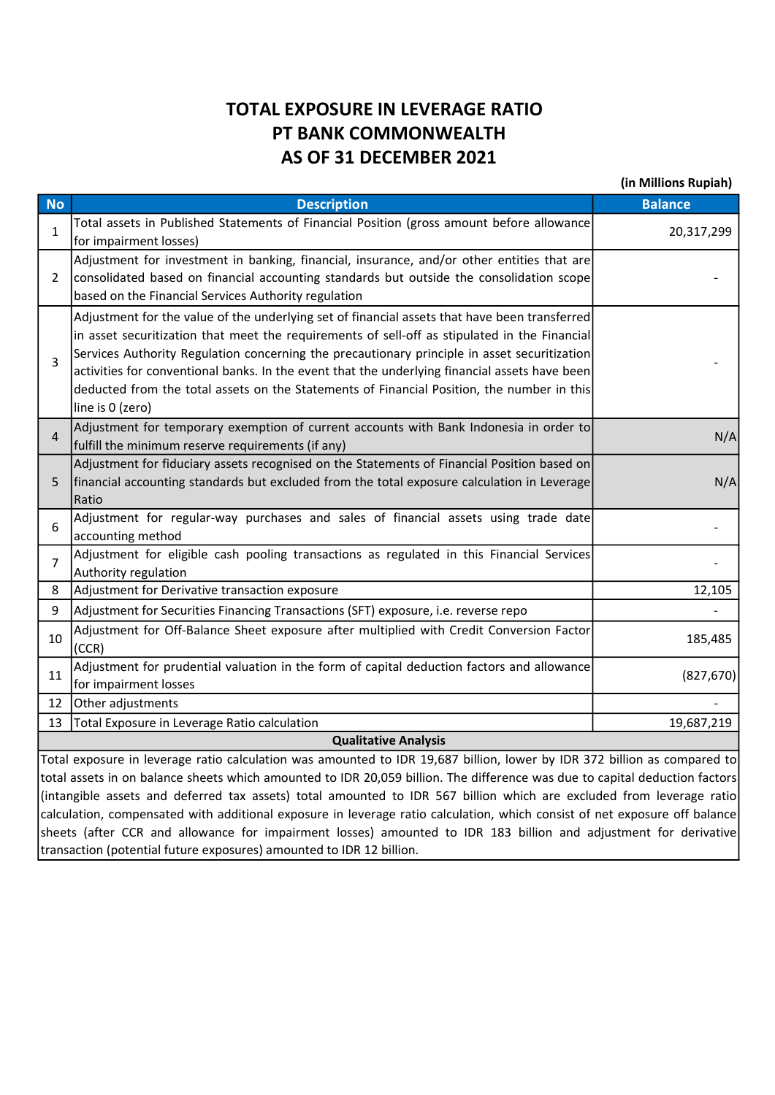## TOTAL EXPOSURE IN LEVERAGE RATIO PT BANK COMMONWEALTH AS OF 31 DECEMBER 2021

(in Millions Rupiah)

| <b>No</b>                                                                                                                                                                                                                                                                                                                                                                                            | <b>Description</b>                                                                                                                                                                                                                                                                                                                                                                                                                                                                                                 | <b>Balance</b> |  |  |  |  |
|------------------------------------------------------------------------------------------------------------------------------------------------------------------------------------------------------------------------------------------------------------------------------------------------------------------------------------------------------------------------------------------------------|--------------------------------------------------------------------------------------------------------------------------------------------------------------------------------------------------------------------------------------------------------------------------------------------------------------------------------------------------------------------------------------------------------------------------------------------------------------------------------------------------------------------|----------------|--|--|--|--|
| 1                                                                                                                                                                                                                                                                                                                                                                                                    | Total assets in Published Statements of Financial Position (gross amount before allowance<br>for impairment losses)                                                                                                                                                                                                                                                                                                                                                                                                | 20,317,299     |  |  |  |  |
| $\overline{2}$                                                                                                                                                                                                                                                                                                                                                                                       | Adjustment for investment in banking, financial, insurance, and/or other entities that are<br>consolidated based on financial accounting standards but outside the consolidation scope<br>based on the Financial Services Authority regulation                                                                                                                                                                                                                                                                     |                |  |  |  |  |
| 3                                                                                                                                                                                                                                                                                                                                                                                                    | Adjustment for the value of the underlying set of financial assets that have been transferred<br>in asset securitization that meet the requirements of sell-off as stipulated in the Financial<br>Services Authority Regulation concerning the precautionary principle in asset securitization<br>activities for conventional banks. In the event that the underlying financial assets have been<br>deducted from the total assets on the Statements of Financial Position, the number in this<br>line is 0 (zero) |                |  |  |  |  |
| 4                                                                                                                                                                                                                                                                                                                                                                                                    | Adjustment for temporary exemption of current accounts with Bank Indonesia in order to<br>fulfill the minimum reserve requirements (if any)                                                                                                                                                                                                                                                                                                                                                                        | N/A            |  |  |  |  |
| 5                                                                                                                                                                                                                                                                                                                                                                                                    | Adjustment for fiduciary assets recognised on the Statements of Financial Position based on<br>financial accounting standards but excluded from the total exposure calculation in Leverage<br>Ratio                                                                                                                                                                                                                                                                                                                | N/A            |  |  |  |  |
| 6                                                                                                                                                                                                                                                                                                                                                                                                    | Adjustment for regular-way purchases and sales of financial assets using trade date<br>accounting method                                                                                                                                                                                                                                                                                                                                                                                                           |                |  |  |  |  |
| $\overline{7}$                                                                                                                                                                                                                                                                                                                                                                                       | Adjustment for eligible cash pooling transactions as regulated in this Financial Services<br>Authority regulation                                                                                                                                                                                                                                                                                                                                                                                                  |                |  |  |  |  |
| 8                                                                                                                                                                                                                                                                                                                                                                                                    | Adjustment for Derivative transaction exposure                                                                                                                                                                                                                                                                                                                                                                                                                                                                     | 12,105         |  |  |  |  |
| 9                                                                                                                                                                                                                                                                                                                                                                                                    | Adjustment for Securities Financing Transactions (SFT) exposure, i.e. reverse repo                                                                                                                                                                                                                                                                                                                                                                                                                                 |                |  |  |  |  |
| 10                                                                                                                                                                                                                                                                                                                                                                                                   | Adjustment for Off-Balance Sheet exposure after multiplied with Credit Conversion Factor<br>(CCR)                                                                                                                                                                                                                                                                                                                                                                                                                  | 185,485        |  |  |  |  |
| 11                                                                                                                                                                                                                                                                                                                                                                                                   | Adjustment for prudential valuation in the form of capital deduction factors and allowance<br>for impairment losses                                                                                                                                                                                                                                                                                                                                                                                                | (827, 670)     |  |  |  |  |
| 12                                                                                                                                                                                                                                                                                                                                                                                                   | Other adjustments                                                                                                                                                                                                                                                                                                                                                                                                                                                                                                  |                |  |  |  |  |
| 13                                                                                                                                                                                                                                                                                                                                                                                                   | Total Exposure in Leverage Ratio calculation                                                                                                                                                                                                                                                                                                                                                                                                                                                                       | 19,687,219     |  |  |  |  |
| <b>Qualitative Analysis</b>                                                                                                                                                                                                                                                                                                                                                                          |                                                                                                                                                                                                                                                                                                                                                                                                                                                                                                                    |                |  |  |  |  |
| Total exposure in leverage ratio calculation was amounted to IDR 19,687 billion, lower by IDR 372 billion as compared to<br>total assets in on balance sheets which amounted to IDR 20,059 billion. The difference was due to capital deduction factors<br>ونلعس وموسوميوا وسومة الرواميون ويرود والمنواب وسنات فالتقام المعامر والمستوعد والملحوم برواله وسوما والمستحقق والمتوسط والمتوسط والمتحدث |                                                                                                                                                                                                                                                                                                                                                                                                                                                                                                                    |                |  |  |  |  |

(intangible assets and deferred tax assets) total amounted to IDR 567 billion which are excluded from leverage ratio calculation, compensated with additional exposure in leverage ratio calculation, which consist of net exposure off balance sheets (after CCR and allowance for impairment losses) amounted to IDR 183 billion and adjustment for derivative transaction (potential future exposures) amounted to IDR 12 billion.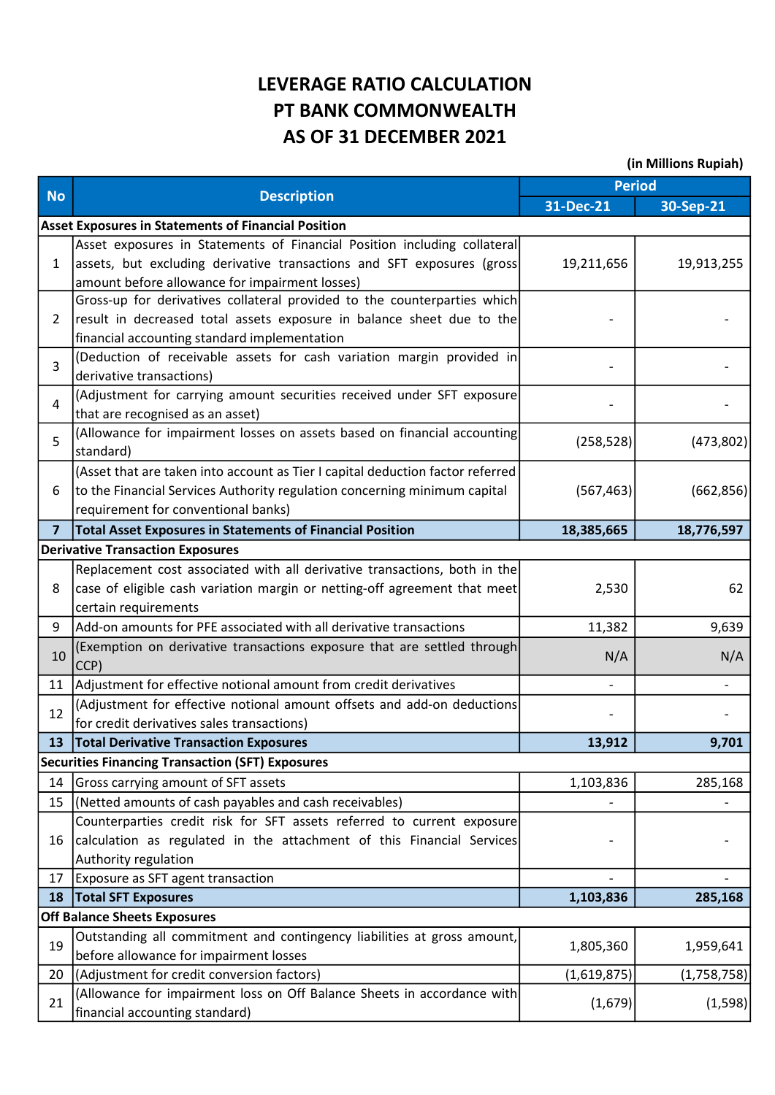## LEVERAGE RATIO CALCULATION PT BANK COMMONWEALTH AS OF 31 DECEMBER 2021

(in Millions Rupiah)

|                |                                                                                      | <b>Period</b>            |             |
|----------------|--------------------------------------------------------------------------------------|--------------------------|-------------|
| <b>No</b>      | <b>Description</b>                                                                   | 31-Dec-21                | 30-Sep-21   |
|                | <b>Asset Exposures in Statements of Financial Position</b>                           |                          |             |
| 1              | Asset exposures in Statements of Financial Position including collateral             |                          |             |
|                | assets, but excluding derivative transactions and SFT exposures (gross               | 19,211,656               | 19,913,255  |
|                | amount before allowance for impairment losses)                                       |                          |             |
| $\overline{2}$ | Gross-up for derivatives collateral provided to the counterparties which             |                          |             |
|                | result in decreased total assets exposure in balance sheet due to the                |                          |             |
|                | financial accounting standard implementation                                         |                          |             |
| $\overline{3}$ | (Deduction of receivable assets for cash variation margin provided in                |                          |             |
|                | derivative transactions)                                                             |                          |             |
| $\overline{4}$ | (Adjustment for carrying amount securities received under SFT exposure               |                          |             |
|                | that are recognised as an asset)                                                     |                          |             |
| 5              | (Allowance for impairment losses on assets based on financial accounting             | (258, 528)               | (473,802)   |
|                | standard)                                                                            |                          |             |
|                | (Asset that are taken into account as Tier I capital deduction factor referred       |                          |             |
| 6              | to the Financial Services Authority regulation concerning minimum capital            | (567, 463)               | (662, 856)  |
|                | requirement for conventional banks)                                                  |                          |             |
| $\overline{7}$ | <b>Total Asset Exposures in Statements of Financial Position</b>                     | 18,385,665               | 18,776,597  |
|                | <b>Derivative Transaction Exposures</b>                                              |                          |             |
|                | Replacement cost associated with all derivative transactions, both in the            |                          |             |
| 8              | case of eligible cash variation margin or netting-off agreement that meet            | 2,530                    | 62          |
|                | certain requirements                                                                 |                          |             |
| 9              | Add-on amounts for PFE associated with all derivative transactions                   | 11,382                   | 9,639       |
| 10             | (Exemption on derivative transactions exposure that are settled through<br>CCP)      | N/A                      | N/A         |
| 11             | Adjustment for effective notional amount from credit derivatives                     | $\overline{\phantom{a}}$ |             |
| 12             | (Adjustment for effective notional amount offsets and add-on deductions              |                          |             |
|                | for credit derivatives sales transactions)                                           |                          |             |
| 13             | <b>Total Derivative Transaction Exposures</b>                                        | 13,912                   | 9,701       |
|                | <b>Securities Financing Transaction (SFT) Exposures</b>                              |                          |             |
| 14             | Gross carrying amount of SFT assets                                                  | 1,103,836                |             |
|                |                                                                                      |                          | 285,168     |
| 15             | (Netted amounts of cash payables and cash receivables)                               |                          |             |
|                | Counterparties credit risk for SFT assets referred to current exposure               |                          |             |
| 16             | calculation as regulated in the attachment of this Financial Services                |                          |             |
|                | Authority regulation                                                                 |                          |             |
| 17<br>18       | Exposure as SFT agent transaction                                                    | 1,103,836                |             |
|                | <b>Total SFT Exposures</b><br><b>Off Balance Sheets Exposures</b>                    |                          | 285,168     |
|                |                                                                                      |                          |             |
| 19             | Outstanding all commitment and contingency liabilities at gross amount,              | 1,805,360                | 1,959,641   |
|                | before allowance for impairment losses<br>(Adjustment for credit conversion factors) |                          |             |
| 20             | (Allowance for impairment loss on Off Balance Sheets in accordance with              | (1,619,875)              | (1,758,758) |
| 21             | financial accounting standard)                                                       | (1,679)                  | (1,598)     |